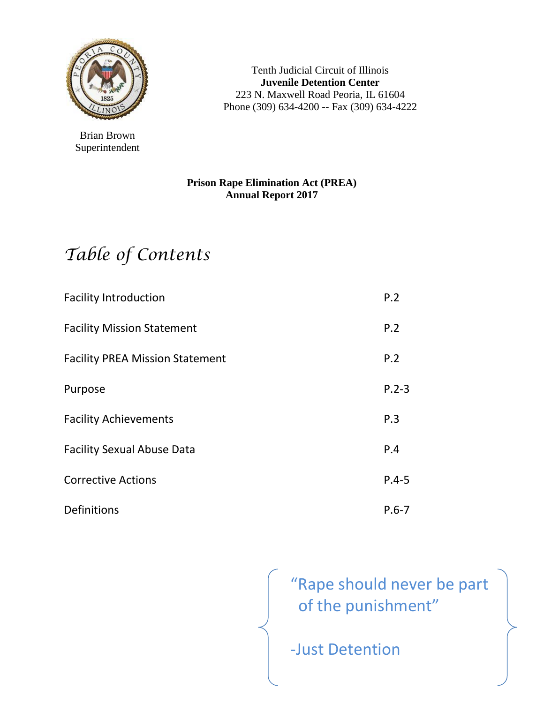

Brian Brown Superintendent

Tenth Judicial Circuit of Illinois **Juvenile Detention Center** 223 N. Maxwell Road Peoria, IL 61604 Phone (309) 634-4200 -- Fax (309) 634-4222

### **Prison Rape Elimination Act (PREA) Annual Report 2017**

# *Table of Contents*

| <b>Facility Introduction</b>           | P.2       |
|----------------------------------------|-----------|
| <b>Facility Mission Statement</b>      | P.2       |
| <b>Facility PREA Mission Statement</b> | P.2       |
| Purpose                                | $P.2 - 3$ |
| <b>Facility Achievements</b>           | P.3       |
| <b>Facility Sexual Abuse Data</b>      | P.4       |
| <b>Corrective Actions</b>              | $P.4 - 5$ |
| Definitions                            | $P.6 - 7$ |

"Rape should never be part of the punishment"

-Just Detention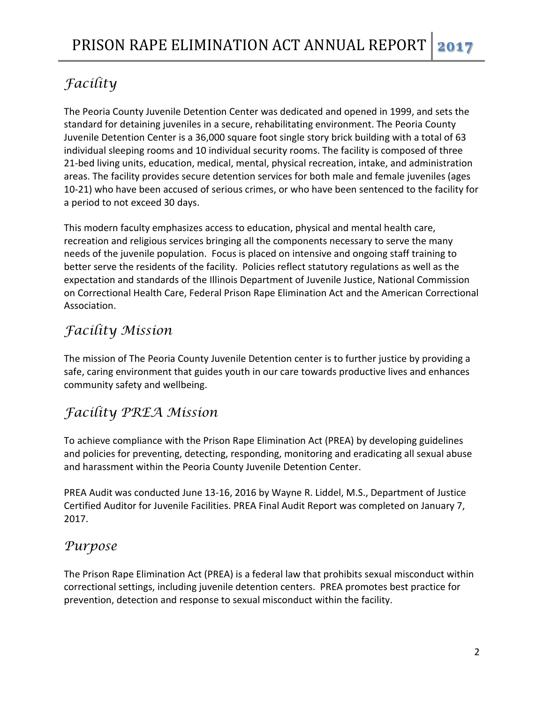### *Facility*

The Peoria County Juvenile Detention Center was dedicated and opened in 1999, and sets the standard for detaining juveniles in a secure, rehabilitating environment. The Peoria County Juvenile Detention Center is a 36,000 square foot single story brick building with a total of 63 individual sleeping rooms and 10 individual security rooms. The facility is composed of three 21-bed living units, education, medical, mental, physical recreation, intake, and administration areas. The facility provides secure detention services for both male and female juveniles (ages 10-21) who have been accused of serious crimes, or who have been sentenced to the facility for a period to not exceed 30 days.

This modern faculty emphasizes access to education, physical and mental health care, recreation and religious services bringing all the components necessary to serve the many needs of the juvenile population. Focus is placed on intensive and ongoing staff training to better serve the residents of the facility. Policies reflect statutory regulations as well as the expectation and standards of the Illinois Department of Juvenile Justice, National Commission on Correctional Health Care, Federal Prison Rape Elimination Act and the American Correctional Association.

### *Facility Mission*

The mission of The Peoria County Juvenile Detention center is to further justice by providing a safe, caring environment that guides youth in our care towards productive lives and enhances community safety and wellbeing.

### *Facility PREA Mission*

To achieve compliance with the Prison Rape Elimination Act (PREA) by developing guidelines and policies for preventing, detecting, responding, monitoring and eradicating all sexual abuse and harassment within the Peoria County Juvenile Detention Center.

PREA Audit was conducted June 13-16, 2016 by Wayne R. Liddel, M.S., Department of Justice Certified Auditor for Juvenile Facilities. PREA Final Audit Report was completed on January 7, 2017.

### *Purpose*

The Prison Rape Elimination Act (PREA) is a federal law that prohibits sexual misconduct within correctional settings, including juvenile detention centers. PREA promotes best practice for prevention, detection and response to sexual misconduct within the facility.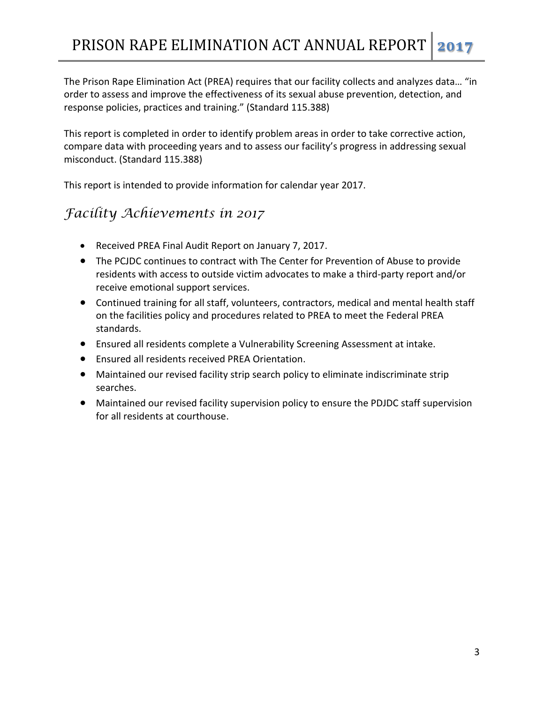The Prison Rape Elimination Act (PREA) requires that our facility collects and analyzes data… "in order to assess and improve the effectiveness of its sexual abuse prevention, detection, and response policies, practices and training." (Standard 115.388)

This report is completed in order to identify problem areas in order to take corrective action, compare data with proceeding years and to assess our facility's progress in addressing sexual misconduct. (Standard 115.388)

This report is intended to provide information for calendar year 2017.

### *Facility Achievements in 2017*

- Received PREA Final Audit Report on January 7, 2017.
- The PCJDC continues to contract with The Center for Prevention of Abuse to provide residents with access to outside victim advocates to make a third-party report and/or receive emotional support services.
- Continued training for all staff, volunteers, contractors, medical and mental health staff on the facilities policy and procedures related to PREA to meet the Federal PREA standards.
- Ensured all residents complete a Vulnerability Screening Assessment at intake.
- Ensured all residents received PREA Orientation.
- Maintained our revised facility strip search policy to eliminate indiscriminate strip searches.
- Maintained our revised facility supervision policy to ensure the PDJDC staff supervision for all residents at courthouse.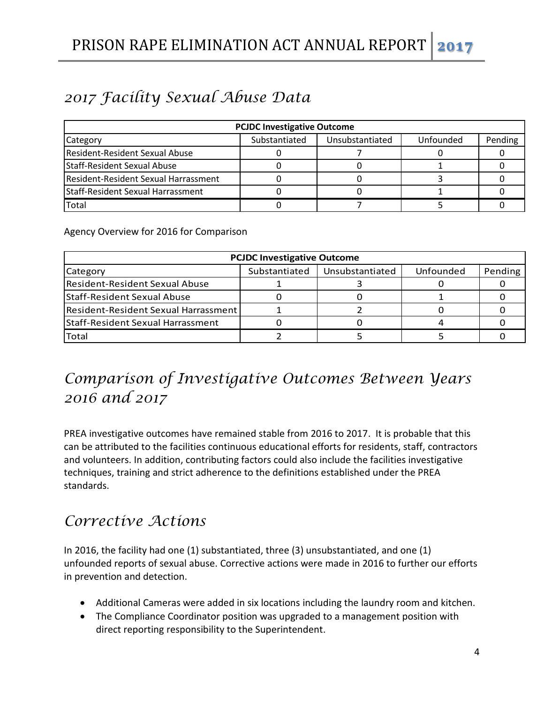# *2017 Facility Sexual Abuse Data*

| <b>PCJDC Investigative Outcome</b>   |               |                 |           |         |  |  |
|--------------------------------------|---------------|-----------------|-----------|---------|--|--|
| Category                             | Substantiated | Unsubstantiated | Unfounded | Pending |  |  |
| Resident-Resident Sexual Abuse       |               |                 |           |         |  |  |
| Staff-Resident Sexual Abuse          |               |                 |           |         |  |  |
| Resident-Resident Sexual Harrassment |               |                 |           |         |  |  |
| Staff-Resident Sexual Harrassment    |               |                 |           |         |  |  |
| Total                                |               |                 |           |         |  |  |

Agency Overview for 2016 for Comparison

| <b>PCJDC Investigative Outcome</b>   |               |                 |           |         |  |  |
|--------------------------------------|---------------|-----------------|-----------|---------|--|--|
| Category                             | Substantiated | Unsubstantiated | Unfounded | Pending |  |  |
| Resident-Resident Sexual Abuse       |               |                 |           |         |  |  |
| Staff-Resident Sexual Abuse          |               |                 |           |         |  |  |
| Resident-Resident Sexual Harrassment |               |                 |           |         |  |  |
| Staff-Resident Sexual Harrassment    |               |                 |           |         |  |  |
| Total                                |               |                 |           |         |  |  |

# *Comparison of Investigative Outcomes Between Years 2016 and 2017*

PREA investigative outcomes have remained stable from 2016 to 2017. It is probable that this can be attributed to the facilities continuous educational efforts for residents, staff, contractors and volunteers. In addition, contributing factors could also include the facilities investigative techniques, training and strict adherence to the definitions established under the PREA standards.

### *Corrective Actions*

In 2016, the facility had one (1) substantiated, three (3) unsubstantiated, and one (1) unfounded reports of sexual abuse. Corrective actions were made in 2016 to further our efforts in prevention and detection.

- Additional Cameras were added in six locations including the laundry room and kitchen.
- The Compliance Coordinator position was upgraded to a management position with direct reporting responsibility to the Superintendent.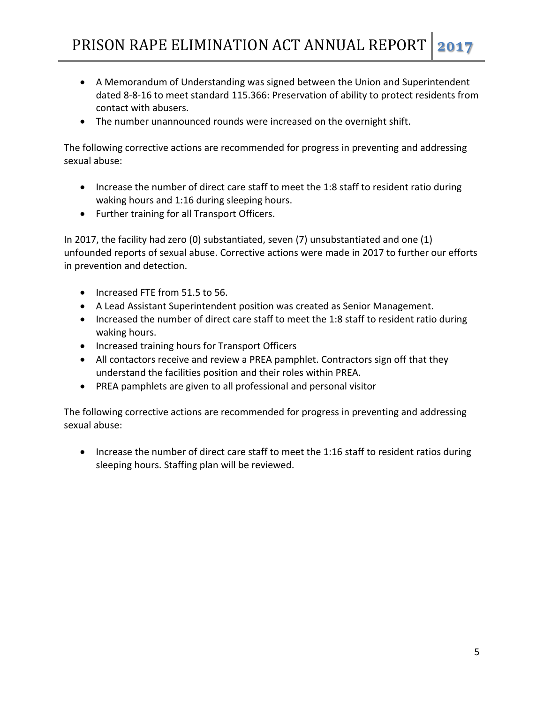- A Memorandum of Understanding was signed between the Union and Superintendent dated 8-8-16 to meet standard 115.366: Preservation of ability to protect residents from contact with abusers.
- The number unannounced rounds were increased on the overnight shift.

The following corrective actions are recommended for progress in preventing and addressing sexual abuse:

- Increase the number of direct care staff to meet the 1:8 staff to resident ratio during waking hours and 1:16 during sleeping hours.
- Further training for all Transport Officers.

In 2017, the facility had zero (0) substantiated, seven (7) unsubstantiated and one (1) unfounded reports of sexual abuse. Corrective actions were made in 2017 to further our efforts in prevention and detection.

- Increased FTE from 51.5 to 56.
- A Lead Assistant Superintendent position was created as Senior Management.
- Increased the number of direct care staff to meet the 1:8 staff to resident ratio during waking hours.
- Increased training hours for Transport Officers
- All contactors receive and review a PREA pamphlet. Contractors sign off that they understand the facilities position and their roles within PREA.
- PREA pamphlets are given to all professional and personal visitor

The following corrective actions are recommended for progress in preventing and addressing sexual abuse:

• Increase the number of direct care staff to meet the 1:16 staff to resident ratios during sleeping hours. Staffing plan will be reviewed.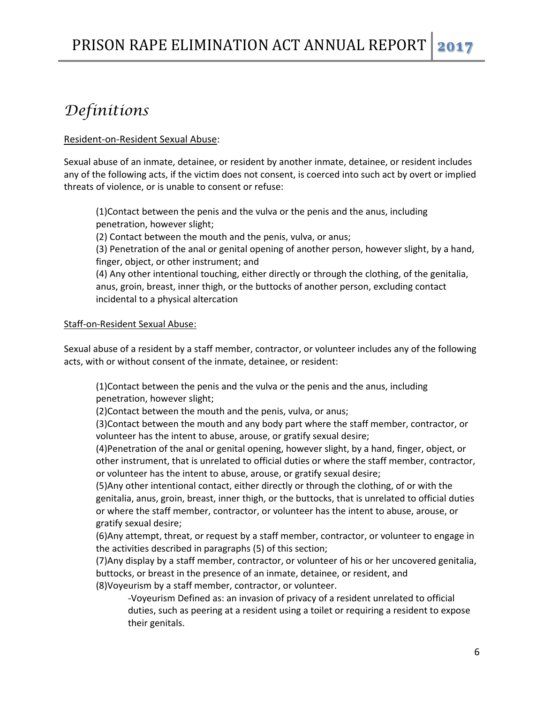## *Definitions*

#### Resident-on-Resident Sexual Abuse:

Sexual abuse of an inmate, detainee, or resident by another inmate, detainee, or resident includes any of the following acts, if the victim does not consent, is coerced into such act by overt or implied threats of violence, or is unable to consent or refuse:

(1)Contact between the penis and the vulva or the penis and the anus, including penetration, however slight;

(2) Contact between the mouth and the penis, vulva, or anus;

(3) Penetration of the anal or genital opening of another person, however slight, by a hand, finger, object, or other instrument; and

(4) Any other intentional touching, either directly or through the clothing, of the genitalia, anus, groin, breast, inner thigh, or the buttocks of another person, excluding contact incidental to a physical altercation

#### Staff-on-Resident Sexual Abuse:

Sexual abuse of a resident by a staff member, contractor, or volunteer includes any of the following acts, with or without consent of the inmate, detainee, or resident:

(1)Contact between the penis and the vulva or the penis and the anus, including penetration, however slight;

(2)Contact between the mouth and the penis, vulva, or anus;

(3)Contact between the mouth and any body part where the staff member, contractor, or volunteer has the intent to abuse, arouse, or gratify sexual desire;

(4)Penetration of the anal or genital opening, however slight, by a hand, finger, object, or other instrument, that is unrelated to official duties or where the staff member, contractor, or volunteer has the intent to abuse, arouse, or gratify sexual desire;

(5)Any other intentional contact, either directly or through the clothing, of or with the genitalia, anus, groin, breast, inner thigh, or the buttocks, that is unrelated to official duties or where the staff member, contractor, or volunteer has the intent to abuse, arouse, or gratify sexual desire;

(6)Any attempt, threat, or request by a staff member, contractor, or volunteer to engage in the activities described in paragraphs (5) of this section;

(7)Any display by a staff member, contractor, or volunteer of his or her uncovered genitalia, buttocks, or breast in the presence of an inmate, detainee, or resident, and (8)Voyeurism by a staff member, contractor, or volunteer.

-Voyeurism Defined as: an invasion of privacy of a resident unrelated to official duties, such as peering at a resident using a toilet or requiring a resident to expose their genitals.